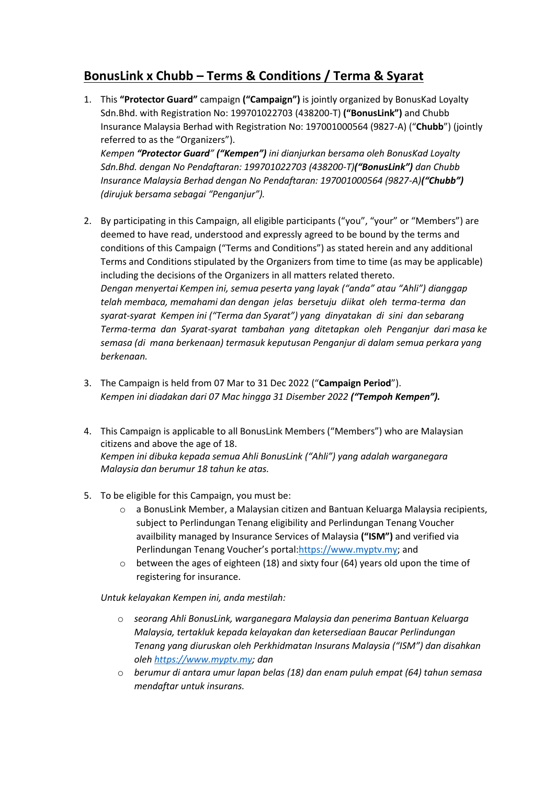## **BonusLink x Chubb – Terms & Conditions / Terma & Syarat**

1. This **"Protector Guard"** campaign **("Campaign")** is jointly organized by BonusKad Loyalty Sdn.Bhd. with Registration No: 199701022703 (438200-T) **("BonusLink")** and Chubb Insurance Malaysia Berhad with Registration No: 197001000564 (9827-A) ("**Chubb**") (jointly referred to as the "Organizers"). *Kempen "Protector Guard" ("Kempen") ini dianjurkan bersama oleh BonusKad Loyalty* 

*Sdn.Bhd. dengan No Pendaftaran: 199701022703 (438200-T)("BonusLink") dan Chubb Insurance Malaysia Berhad dengan No Pendaftaran: 197001000564 (9827-A)("Chubb") (dirujuk bersama sebagai "Penganjur").*

- 2. By participating in this Campaign, all eligible participants ("you", "your" or "Members") are deemed to have read, understood and expressly agreed to be bound by the terms and conditions of this Campaign ("Terms and Conditions") as stated herein and any additional Terms and Conditions stipulated by the Organizers from time to time (as may be applicable) including the decisions of the Organizers in all matters related thereto. *Dengan menyertai Kempen ini, semua peserta yang layak ("anda" atau "Ahli") dianggap telah membaca, memahami dan dengan jelas bersetuju diikat oleh terma-terma dan syarat-syarat Kempen ini ("Terma dan Syarat") yang dinyatakan di sini dan sebarang Terma-terma dan Syarat-syarat tambahan yang ditetapkan oleh Penganjur dari masa ke semasa (di mana berkenaan) termasuk keputusan Penganjur di dalam semua perkara yang berkenaan.*
- 3. The Campaign is held from 07 Mar to 31 Dec 2022 ("**Campaign Period**"). *Kempen ini diadakan dari 07 Mac hingga 31 Disember 2022 ("Tempoh Kempen").*
- 4. This Campaign is applicable to all BonusLink Members ("Members") who are Malaysian citizens and above the age of 18. *Kempen ini dibuka kepada semua Ahli BonusLink ("Ahli") yang adalah warganegara Malaysia dan berumur 18 tahun ke atas.*
- 5. To be eligible for this Campaign, you must be:
	- $\circ$  a BonusLink Member, a Malaysian citizen and Bantuan Keluarga Malaysia recipients, subject to Perlindungan Tenang eligibility and Perlindungan Tenang Voucher availbility managed by Insurance Services of Malaysia **("ISM")** and verified via Perlindungan Tenang Voucher's portal[:https://www.myptv.my;](https://www.myptv.my/) and
	- o between the ages of eighteen (18) and sixty four (64) years old upon the time of registering for insurance.

*Untuk kelayakan Kempen ini, anda mestilah:*

- o *seorang Ahli BonusLink, warganegara Malaysia dan penerima Bantuan Keluarga Malaysia, tertakluk kepada kelayakan dan ketersediaan Baucar Perlindungan Tenang yang diuruskan oleh Perkhidmatan Insurans Malaysia ("ISM") dan disahkan ole[h https://www.myptv.my;](https://www.myptv.my/) dan*
- o *berumur di antara umur lapan belas (18) dan enam puluh empat (64) tahun semasa mendaftar untuk insurans.*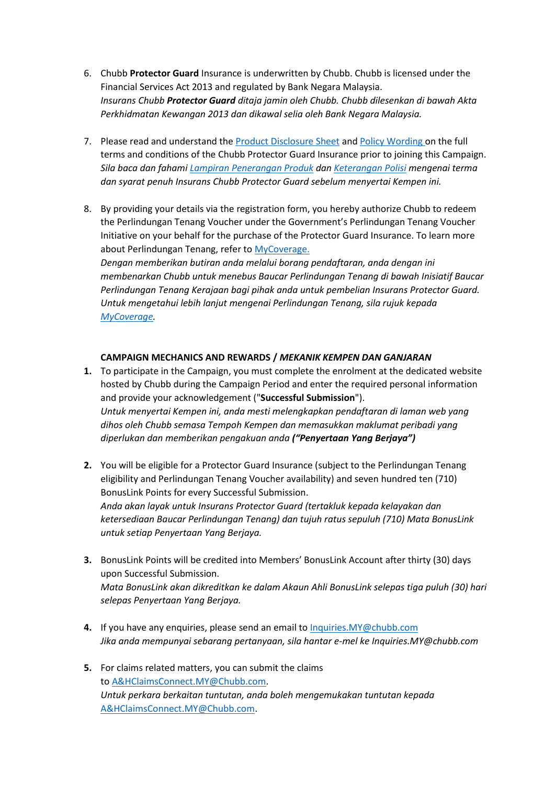- 6. Chubb **Protector Guard** Insurance is underwritten by Chubb. Chubb is licensed under the Financial Services Act 2013 and regulated by Bank Negara Malaysia. *Insurans Chubb Protector Guard ditaja jamin oleh Chubb. Chubb dilesenkan di bawah Akta Perkhidmatan Kewangan 2013 dan dikawal selia oleh Bank Negara Malaysia.*
- 7. Please read and understand th[e Product Disclosure Sheet](https://www.chubb.com/content/dam/chubb-sites/chubb-com/my-en/personal/protector-guard/Perlindungan%20Tenang_Protector%20Guard_PDS%20(18%20months).pdf) and [Policy Wording](https://www.chubb.com/content/dam/chubb-sites/chubb-com/my-en/personal/protector-guard/Perlindungan%20Tenang_Individual%20PA_PW_22%20Dec%202021.pdf) on the full terms and conditions of the Chubb Protector Guard Insurance prior to joining this Campaign. *Sila baca dan faham[i Lampiran Penerangan Produk](https://www.chubb.com/content/dam/chubb-sites/chubb-com/my-en/personal/protector-guard/Perlindungan%20Tenang_Protector%20Guard_PDS%20(18%20months).pdf) dan [Keterangan Polisi](https://www.chubb.com/content/dam/chubb-sites/chubb-com/my-en/personal/protector-guard/Perlindungan%20Tenang_Individual%20PA_PW_22%20Dec%202021.pdf) mengenai terma dan syarat penuh Insurans Chubb Protector Guard sebelum menyertai Kempen ini.*
- 8. By providing your details via the registration form, you hereby authorize Chubb to redeem the Perlindungan Tenang Voucher under the Government's Perlindungan Tenang Voucher Initiative on your behalf for the purchase of the Protector Guard Insurance. To learn more about Perlindungan Tenang, refer to [MyCoverage.](https://www.mycoverage.my/) *Dengan memberikan butiran anda melalui borang pendaftaran, anda dengan ini membenarkan Chubb untuk menebus Baucar Perlindungan Tenang di bawah Inisiatif Baucar Perlindungan Tenang Kerajaan bagi pihak anda untuk pembelian Insurans Protector Guard.*

*Untuk mengetahui lebih lanjut mengenai Perlindungan Tenang, sila rujuk kepada [MyCoverage.](https://www.mycoverage.my/)*

## **CAMPAIGN MECHANICS AND REWARDS /** *MEKANIK KEMPEN DAN GANJARAN*

- **1.** To participate in the Campaign, you must complete the enrolment at the dedicated website hosted by Chubb during the Campaign Period and enter the required personal information and provide your acknowledgement ("**Successful Submission**"). *Untuk menyertai Kempen ini, anda mesti melengkapkan pendaftaran di laman web yang dihos oleh Chubb semasa Tempoh Kempen dan memasukkan maklumat peribadi yang diperlukan dan memberikan pengakuan anda ("Penyertaan Yang Berjaya")*
- **2.** You will be eligible for a Protector Guard Insurance (subject to the Perlindungan Tenang eligibility and Perlindungan Tenang Voucher availability) and seven hundred ten (710) BonusLink Points for every Successful Submission. *Anda akan layak untuk Insurans Protector Guard (tertakluk kepada kelayakan dan ketersediaan Baucar Perlindungan Tenang) dan tujuh ratus sepuluh (710) Mata BonusLink untuk setiap Penyertaan Yang Berjaya.*
- **3.** BonusLink Points will be credited into Members' BonusLink Account after thirty (30) days upon Successful Submission. *Mata BonusLink akan dikreditkan ke dalam Akaun Ahli BonusLink selepas tiga puluh (30) hari selepas Penyertaan Yang Berjaya.*
- **4.** If you have any enquiries, please send an email t[o Inquiries.MY@chubb.com](mailto:Inquiries.MY@chubb.com) *Jika anda mempunyai sebarang pertanyaan, sila hantar e-mel ke Inquiries.MY@chubb.com*
- **5.** For claims related matters, you can submit the claims to [A&HClaimsConnect.MY@Chubb.com.](mailto:A%26HClaimsConnect.MY@Chubb.com) *Untuk perkara berkaitan tuntutan, anda boleh mengemukakan tuntutan kepada* [A&HClaimsConnect.MY@Chubb.com.](mailto:A%26HClaimsConnect.MY@Chubb.com)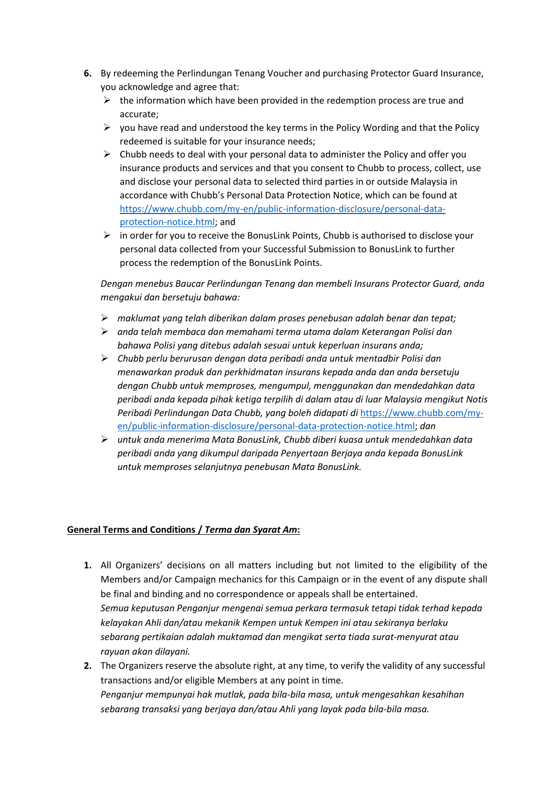- **6.** By redeeming the Perlindungan Tenang Voucher and purchasing Protector Guard Insurance, you acknowledge and agree that:
	- $\triangleright$  the information which have been provided in the redemption process are true and accurate;
	- $\triangleright$  you have read and understood the key terms in the Policy Wording and that the Policy redeemed is suitable for your insurance needs;
	- $\triangleright$  Chubb needs to deal with your personal data to administer the Policy and offer you insurance products and services and that you consent to Chubb to process, collect, use and disclose your personal data to selected third parties in or outside Malaysia in accordance with Chubb's Personal Data Protection Notice, which can be found at [https://www.chubb.com/my-en/public-information-disclosure/personal-data](https://www.chubb.com/my-en/public-information-disclosure/personal-data-protection-notice.html)[protection-notice.html;](https://www.chubb.com/my-en/public-information-disclosure/personal-data-protection-notice.html) and
	- ➢ in order for you to receive the BonusLink Points, Chubb is authorised to disclose your personal data collected from your Successful Submission to BonusLink to further process the redemption of the BonusLink Points.

*Dengan menebus Baucar Perlindungan Tenang dan membeli Insurans Protector Guard, anda mengakui dan bersetuju bahawa:*

- ➢ *maklumat yang telah diberikan dalam proses penebusan adalah benar dan tepat;*
- ➢ *anda telah membaca dan memahami terma utama dalam Keterangan Polisi dan bahawa Polisi yang ditebus adalah sesuai untuk keperluan insurans anda;*
- ➢ *Chubb perlu berurusan dengan data peribadi anda untuk mentadbir Polisi dan menawarkan produk dan perkhidmatan insurans kepada anda dan anda bersetuju dengan Chubb untuk memproses, mengumpul, menggunakan dan mendedahkan data peribadi anda kepada pihak ketiga terpilih di dalam atau di luar Malaysia mengikut Notis Peribadi Perlindungan Data Chubb, yang boleh didapati di* [https://www.chubb.com/my](https://www.chubb.com/my-en/public-information-disclosure/personal-data-protection-notice.html)[en/public-information-disclosure/personal-data-protection-notice.html;](https://www.chubb.com/my-en/public-information-disclosure/personal-data-protection-notice.html) *dan*
- ➢ *untuk anda menerima Mata BonusLink, Chubb diberi kuasa untuk mendedahkan data peribadi anda yang dikumpul daripada Penyertaan Berjaya anda kepada BonusLink untuk memproses selanjutnya penebusan Mata BonusLink.*

## **General Terms and Conditions /** *Terma dan Syarat Am***:**

- **1.** All Organizers' decisions on all matters including but not limited to the eligibility of the Members and/or Campaign mechanics for this Campaign or in the event of any dispute shall be final and binding and no correspondence or appeals shall be entertained. *Semua keputusan Penganjur mengenai semua perkara termasuk tetapi tidak terhad kepada kelayakan Ahli dan/atau mekanik Kempen untuk Kempen ini atau sekiranya berlaku sebarang pertikaian adalah muktamad dan mengikat serta tiada surat-menyurat atau rayuan akan dilayani.*
- **2.** The Organizers reserve the absolute right, at any time, to verify the validity of any successful transactions and/or eligible Members at any point in time. *Penganjur mempunyai hak mutlak, pada bila-bila masa, untuk mengesahkan kesahihan sebarang transaksi yang berjaya dan/atau Ahli yang layak pada bila-bila masa.*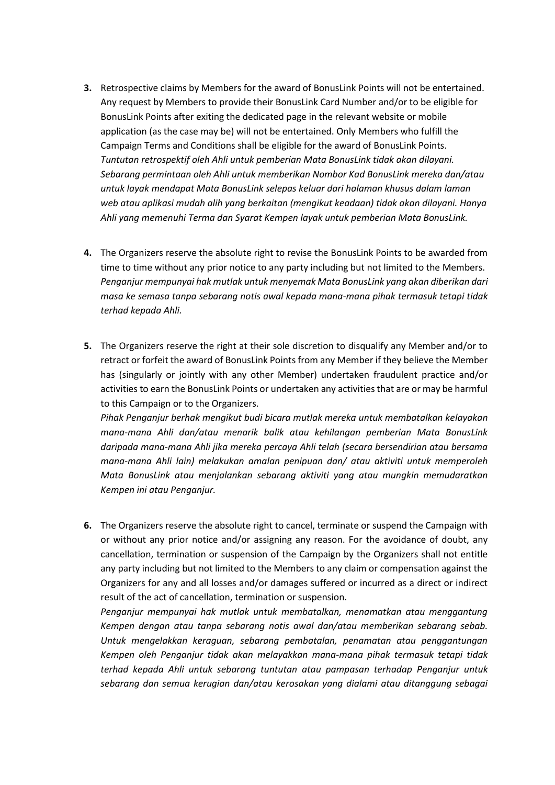- **3.** Retrospective claims by Members for the award of BonusLink Points will not be entertained. Any request by Members to provide their BonusLink Card Number and/or to be eligible for BonusLink Points after exiting the dedicated page in the relevant website or mobile application (as the case may be) will not be entertained. Only Members who fulfill the Campaign Terms and Conditions shall be eligible for the award of BonusLink Points. *Tuntutan retrospektif oleh Ahli untuk pemberian Mata BonusLink tidak akan dilayani. Sebarang permintaan oleh Ahli untuk memberikan Nombor Kad BonusLink mereka dan/atau untuk layak mendapat Mata BonusLink selepas keluar dari halaman khusus dalam laman web atau aplikasi mudah alih yang berkaitan (mengikut keadaan) tidak akan dilayani. Hanya Ahli yang memenuhi Terma dan Syarat Kempen layak untuk pemberian Mata BonusLink.*
- **4.** The Organizers reserve the absolute right to revise the BonusLink Points to be awarded from time to time without any prior notice to any party including but not limited to the Members. *Penganjur mempunyai hak mutlak untuk menyemak Mata BonusLink yang akan diberikan dari masa ke semasa tanpa sebarang notis awal kepada mana-mana pihak termasuk tetapi tidak terhad kepada Ahli.*
- **5.** The Organizers reserve the right at their sole discretion to disqualify any Member and/or to retract or forfeit the award of BonusLink Points from any Member if they believe the Member has (singularly or jointly with any other Member) undertaken fraudulent practice and/or activities to earn the BonusLink Points or undertaken any activities that are or may be harmful to this Campaign or to the Organizers.

*Pihak Penganjur berhak mengikut budi bicara mutlak mereka untuk membatalkan kelayakan mana-mana Ahli dan/atau menarik balik atau kehilangan pemberian Mata BonusLink daripada mana-mana Ahli jika mereka percaya Ahli telah (secara bersendirian atau bersama mana-mana Ahli lain) melakukan amalan penipuan dan/ atau aktiviti untuk memperoleh Mata BonusLink atau menjalankan sebarang aktiviti yang atau mungkin memudaratkan Kempen ini atau Penganjur.*

**6.** The Organizers reserve the absolute right to cancel, terminate or suspend the Campaign with or without any prior notice and/or assigning any reason. For the avoidance of doubt, any cancellation, termination or suspension of the Campaign by the Organizers shall not entitle any party including but not limited to the Members to any claim or compensation against the Organizers for any and all losses and/or damages suffered or incurred as a direct or indirect result of the act of cancellation, termination or suspension.

*Penganjur mempunyai hak mutlak untuk membatalkan, menamatkan atau menggantung Kempen dengan atau tanpa sebarang notis awal dan/atau memberikan sebarang sebab. Untuk mengelakkan keraguan, sebarang pembatalan, penamatan atau penggantungan Kempen oleh Penganjur tidak akan melayakkan mana-mana pihak termasuk tetapi tidak terhad kepada Ahli untuk sebarang tuntutan atau pampasan terhadap Penganjur untuk sebarang dan semua kerugian dan/atau kerosakan yang dialami atau ditanggung sebagai*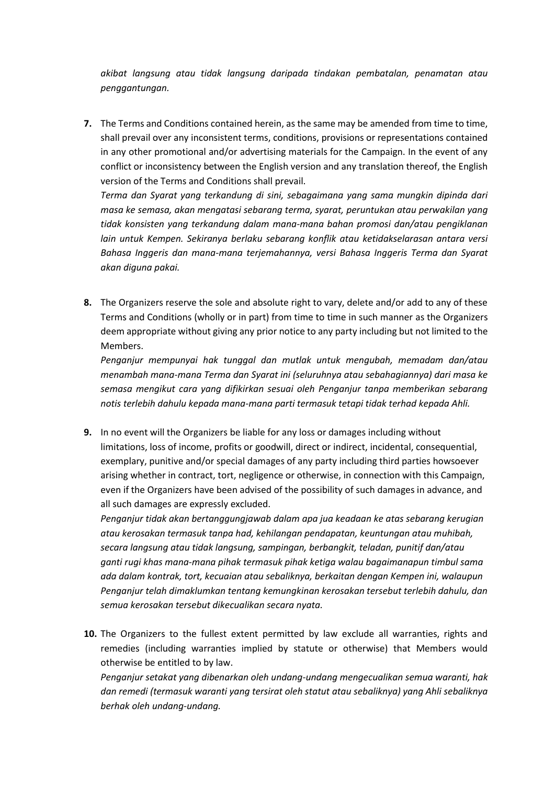*akibat langsung atau tidak langsung daripada tindakan pembatalan, penamatan atau penggantungan.*

**7.** The Terms and Conditions contained herein, as the same may be amended from time to time, shall prevail over any inconsistent terms, conditions, provisions or representations contained in any other promotional and/or advertising materials for the Campaign. In the event of any conflict or inconsistency between the English version and any translation thereof, the English version of the Terms and Conditions shall prevail.

*Terma dan Syarat yang terkandung di sini, sebagaimana yang sama mungkin dipinda dari masa ke semasa, akan mengatasi sebarang terma, syarat, peruntukan atau perwakilan yang tidak konsisten yang terkandung dalam mana-mana bahan promosi dan/atau pengiklanan lain untuk Kempen. Sekiranya berlaku sebarang konflik atau ketidakselarasan antara versi Bahasa Inggeris dan mana-mana terjemahannya, versi Bahasa Inggeris Terma dan Syarat akan diguna pakai.*

**8.** The Organizers reserve the sole and absolute right to vary, delete and/or add to any of these Terms and Conditions (wholly or in part) from time to time in such manner as the Organizers deem appropriate without giving any prior notice to any party including but not limited to the Members.

*Penganjur mempunyai hak tunggal dan mutlak untuk mengubah, memadam dan/atau menambah mana-mana Terma dan Syarat ini (seluruhnya atau sebahagiannya) dari masa ke semasa mengikut cara yang difikirkan sesuai oleh Penganjur tanpa memberikan sebarang notis terlebih dahulu kepada mana-mana parti termasuk tetapi tidak terhad kepada Ahli.*

**9.** In no event will the Organizers be liable for any loss or damages including without limitations, loss of income, profits or goodwill, direct or indirect, incidental, consequential, exemplary, punitive and/or special damages of any party including third parties howsoever arising whether in contract, tort, negligence or otherwise, in connection with this Campaign, even if the Organizers have been advised of the possibility of such damages in advance, and all such damages are expressly excluded.

*Penganjur tidak akan bertanggungjawab dalam apa jua keadaan ke atas sebarang kerugian atau kerosakan termasuk tanpa had, kehilangan pendapatan, keuntungan atau muhibah, secara langsung atau tidak langsung, sampingan, berbangkit, teladan, punitif dan/atau ganti rugi khas mana-mana pihak termasuk pihak ketiga walau bagaimanapun timbul sama ada dalam kontrak, tort, kecuaian atau sebaliknya, berkaitan dengan Kempen ini, walaupun Penganjur telah dimaklumkan tentang kemungkinan kerosakan tersebut terlebih dahulu, dan semua kerosakan tersebut dikecualikan secara nyata.*

**10.** The Organizers to the fullest extent permitted by law exclude all warranties, rights and remedies (including warranties implied by statute or otherwise) that Members would otherwise be entitled to by law.

*Penganjur setakat yang dibenarkan oleh undang-undang mengecualikan semua waranti, hak dan remedi (termasuk waranti yang tersirat oleh statut atau sebaliknya) yang Ahli sebaliknya berhak oleh undang-undang.*